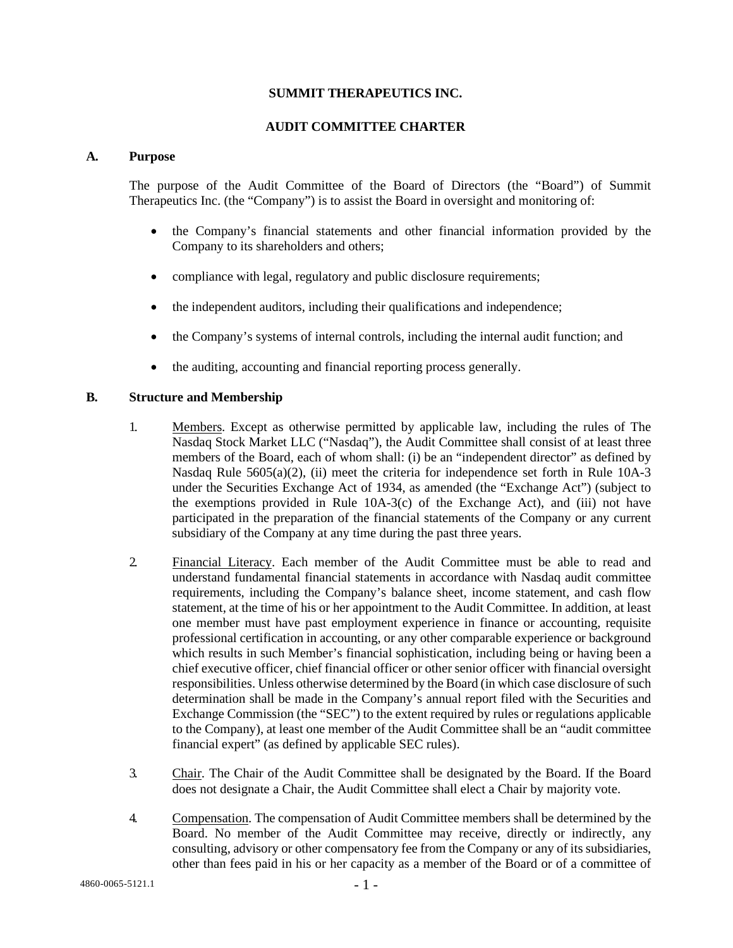#### **SUMMIT THERAPEUTICS INC.**

#### **AUDIT COMMITTEE CHARTER**

#### **A. Purpose**

The purpose of the Audit Committee of the Board of Directors (the "Board") of Summit Therapeutics Inc. (the "Company") is to assist the Board in oversight and monitoring of:

- the Company's financial statements and other financial information provided by the Company to its shareholders and others;
- compliance with legal, regulatory and public disclosure requirements;
- the independent auditors, including their qualifications and independence;
- the Company's systems of internal controls, including the internal audit function; and
- the auditing, accounting and financial reporting process generally.

### **B. Structure and Membership**

- 1. Members. Except as otherwise permitted by applicable law, including the rules of The Nasdaq Stock Market LLC ("Nasdaq"), the Audit Committee shall consist of at least three members of the Board, each of whom shall: (i) be an "independent director" as defined by Nasdaq Rule 5605(a)(2), (ii) meet the criteria for independence set forth in Rule 10A-3 under the Securities Exchange Act of 1934, as amended (the "Exchange Act") (subject to the exemptions provided in Rule 10A-3(c) of the Exchange Act), and (iii) not have participated in the preparation of the financial statements of the Company or any current subsidiary of the Company at any time during the past three years.
- 2. Financial Literacy. Each member of the Audit Committee must be able to read and understand fundamental financial statements in accordance with Nasdaq audit committee requirements, including the Company's balance sheet, income statement, and cash flow statement, at the time of his or her appointment to the Audit Committee. In addition, at least one member must have past employment experience in finance or accounting, requisite professional certification in accounting, or any other comparable experience or background which results in such Member's financial sophistication, including being or having been a chief executive officer, chief financial officer or other senior officer with financial oversight responsibilities. Unless otherwise determined by the Board (in which case disclosure of such determination shall be made in the Company's annual report filed with the Securities and Exchange Commission (the "SEC") to the extent required by rules or regulations applicable to the Company), at least one member of the Audit Committee shall be an "audit committee financial expert" (as defined by applicable SEC rules).
- 3. Chair. The Chair of the Audit Committee shall be designated by the Board. If the Board does not designate a Chair, the Audit Committee shall elect a Chair by majority vote.
- 4. Compensation. The compensation of Audit Committee members shall be determined by the Board. No member of the Audit Committee may receive, directly or indirectly, any consulting, advisory or other compensatory fee from the Company or any of its subsidiaries, other than fees paid in his or her capacity as a member of the Board or of a committee of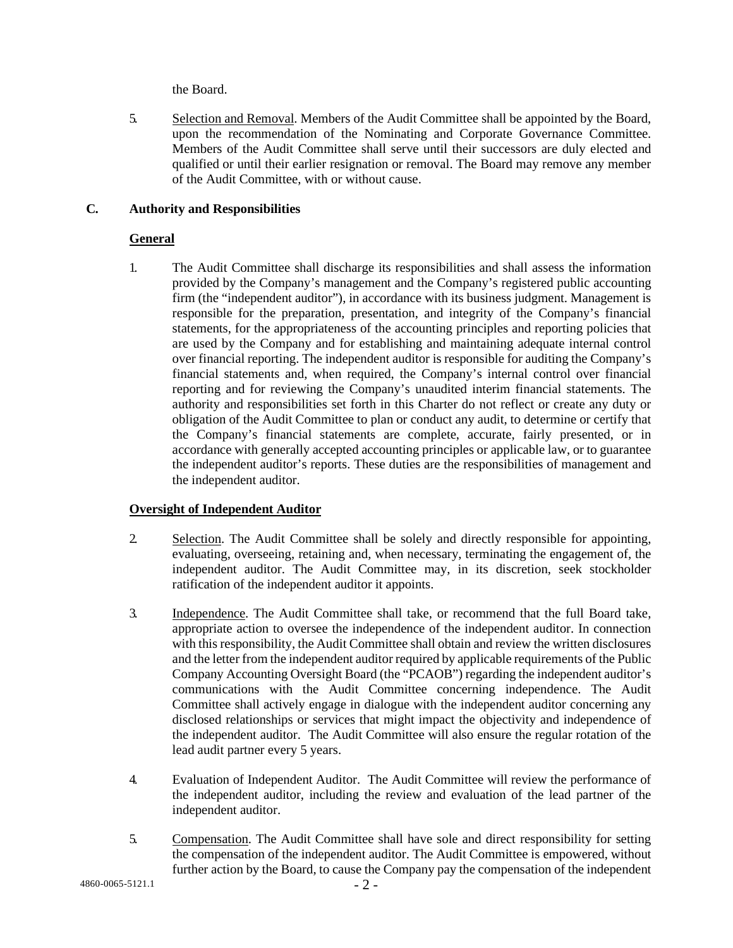the Board.

5. Selection and Removal. Members of the Audit Committee shall be appointed by the Board, upon the recommendation of the Nominating and Corporate Governance Committee. Members of the Audit Committee shall serve until their successors are duly elected and qualified or until their earlier resignation or removal. The Board may remove any member of the Audit Committee, with or without cause.

# **C. Authority and Responsibilities**

### **General**

1. The Audit Committee shall discharge its responsibilities and shall assess the information provided by the Company's management and the Company's registered public accounting firm (the "independent auditor"), in accordance with its business judgment. Management is responsible for the preparation, presentation, and integrity of the Company's financial statements, for the appropriateness of the accounting principles and reporting policies that are used by the Company and for establishing and maintaining adequate internal control over financial reporting. The independent auditor is responsible for auditing the Company's financial statements and, when required, the Company's internal control over financial reporting and for reviewing the Company's unaudited interim financial statements. The authority and responsibilities set forth in this Charter do not reflect or create any duty or obligation of the Audit Committee to plan or conduct any audit, to determine or certify that the Company's financial statements are complete, accurate, fairly presented, or in accordance with generally accepted accounting principles or applicable law, or to guarantee the independent auditor's reports. These duties are the responsibilities of management and the independent auditor.

# **Oversight of Independent Auditor**

- 2. Selection. The Audit Committee shall be solely and directly responsible for appointing, evaluating, overseeing, retaining and, when necessary, terminating the engagement of, the independent auditor. The Audit Committee may, in its discretion, seek stockholder ratification of the independent auditor it appoints.
- 3. Independence. The Audit Committee shall take, or recommend that the full Board take, appropriate action to oversee the independence of the independent auditor. In connection with this responsibility, the Audit Committee shall obtain and review the written disclosures and the letter from the independent auditor required by applicable requirements of the Public Company Accounting Oversight Board (the "PCAOB") regarding the independent auditor's communications with the Audit Committee concerning independence. The Audit Committee shall actively engage in dialogue with the independent auditor concerning any disclosed relationships or services that might impact the objectivity and independence of the independent auditor. The Audit Committee will also ensure the regular rotation of the lead audit partner every 5 years.
- 4. Evaluation of Independent Auditor. The Audit Committee will review the performance of the independent auditor, including the review and evaluation of the lead partner of the independent auditor.
- 5. Compensation. The Audit Committee shall have sole and direct responsibility for setting the compensation of the independent auditor. The Audit Committee is empowered, without further action by the Board, to cause the Company pay the compensation of the independent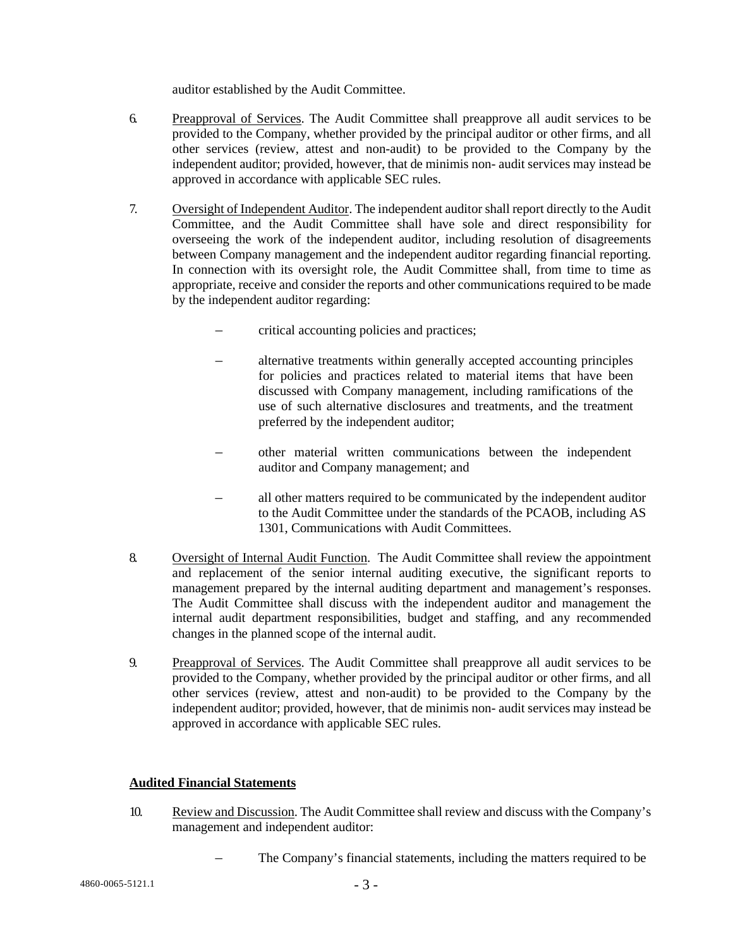auditor established by the Audit Committee.

- 6. Preapproval of Services. The Audit Committee shall preapprove all audit services to be provided to the Company, whether provided by the principal auditor or other firms, and all other services (review, attest and non-audit) to be provided to the Company by the independent auditor; provided, however, that de minimis non- audit services may instead be approved in accordance with applicable SEC rules.
- 7. Oversight of Independent Auditor. The independent auditor shall report directly to the Audit Committee, and the Audit Committee shall have sole and direct responsibility for overseeing the work of the independent auditor, including resolution of disagreements between Company management and the independent auditor regarding financial reporting. In connection with its oversight role, the Audit Committee shall, from time to time as appropriate, receive and consider the reports and other communications required to be made by the independent auditor regarding:
	- critical accounting policies and practices;
	- alternative treatments within generally accepted accounting principles for policies and practices related to material items that have been discussed with Company management, including ramifications of the use of such alternative disclosures and treatments, and the treatment preferred by the independent auditor;
	- other material written communications between the independent auditor and Company management; and
	- all other matters required to be communicated by the independent auditor to the Audit Committee under the standards of the PCAOB, including AS 1301, Communications with Audit Committees.
- 8. Oversight of Internal Audit Function. The Audit Committee shall review the appointment and replacement of the senior internal auditing executive, the significant reports to management prepared by the internal auditing department and management's responses. The Audit Committee shall discuss with the independent auditor and management the internal audit department responsibilities, budget and staffing, and any recommended changes in the planned scope of the internal audit.
- 9. Preapproval of Services. The Audit Committee shall preapprove all audit services to be provided to the Company, whether provided by the principal auditor or other firms, and all other services (review, attest and non-audit) to be provided to the Company by the independent auditor; provided, however, that de minimis non- audit services may instead be approved in accordance with applicable SEC rules.

### **Audited Financial Statements**

- 10. Review and Discussion. The Audit Committee shall review and discuss with the Company's management and independent auditor:
	- The Company's financial statements, including the matters required to be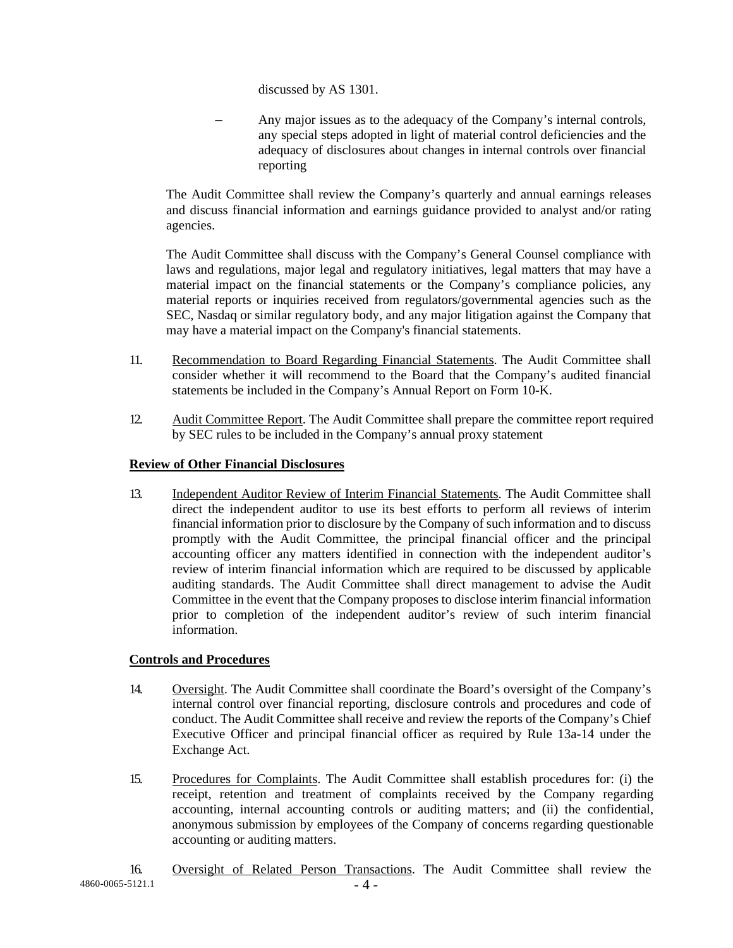discussed by AS 1301.

– Any major issues as to the adequacy of the Company's internal controls, any special steps adopted in light of material control deficiencies and the adequacy of disclosures about changes in internal controls over financial reporting

The Audit Committee shall review the Company's quarterly and annual earnings releases and discuss financial information and earnings guidance provided to analyst and/or rating agencies.

The Audit Committee shall discuss with the Company's General Counsel compliance with laws and regulations, major legal and regulatory initiatives, legal matters that may have a material impact on the financial statements or the Company's compliance policies, any material reports or inquiries received from regulators/governmental agencies such as the SEC, Nasdaq or similar regulatory body, and any major litigation against the Company that may have a material impact on the Company's financial statements.

- 11. Recommendation to Board Regarding Financial Statements. The Audit Committee shall consider whether it will recommend to the Board that the Company's audited financial statements be included in the Company's Annual Report on Form 10-K.
- 12. Audit Committee Report. The Audit Committee shall prepare the committee report required by SEC rules to be included in the Company's annual proxy statement

### **Review of Other Financial Disclosures**

13. Independent Auditor Review of Interim Financial Statements. The Audit Committee shall direct the independent auditor to use its best efforts to perform all reviews of interim financial information prior to disclosure by the Company of such information and to discuss promptly with the Audit Committee, the principal financial officer and the principal accounting officer any matters identified in connection with the independent auditor's review of interim financial information which are required to be discussed by applicable auditing standards. The Audit Committee shall direct management to advise the Audit Committee in the event that the Company proposes to disclose interim financial information prior to completion of the independent auditor's review of such interim financial information.

# **Controls and Procedures**

- 14. Oversight. The Audit Committee shall coordinate the Board's oversight of the Company's internal control over financial reporting, disclosure controls and procedures and code of conduct. The Audit Committee shall receive and review the reports of the Company's Chief Executive Officer and principal financial officer as required by Rule 13a-14 under the Exchange Act.
- 15. Procedures for Complaints. The Audit Committee shall establish procedures for: (i) the receipt, retention and treatment of complaints received by the Company regarding accounting, internal accounting controls or auditing matters; and (ii) the confidential, anonymous submission by employees of the Company of concerns regarding questionable accounting or auditing matters.
- $-4860-0065-5121.1$   $-4$   $-$ 16. Oversight of Related Person Transactions. The Audit Committee shall review the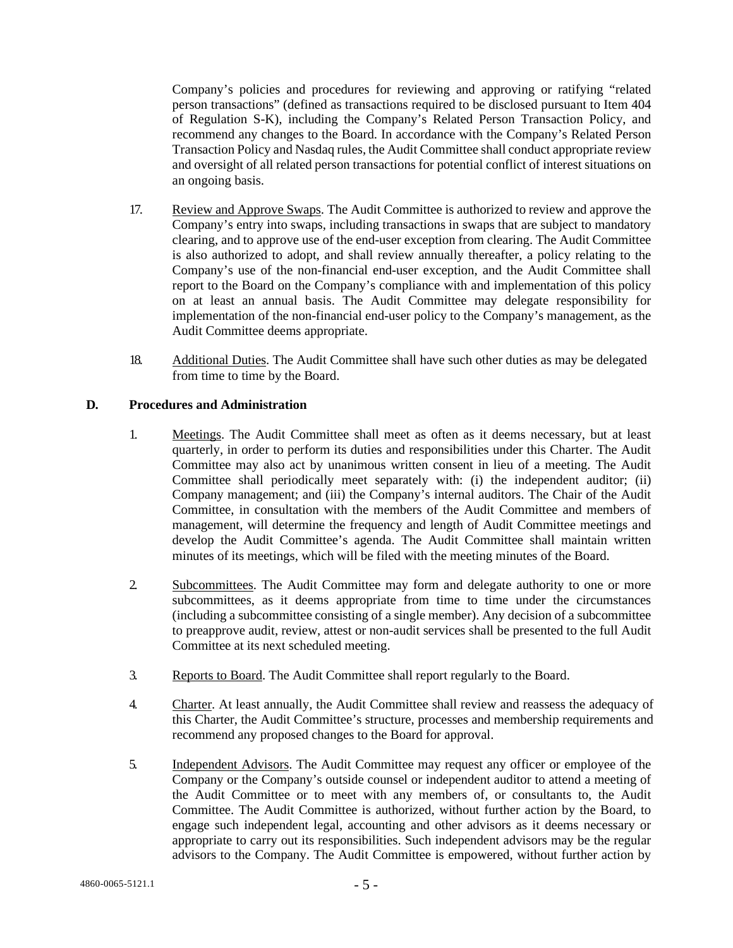Company's policies and procedures for reviewing and approving or ratifying "related person transactions" (defined as transactions required to be disclosed pursuant to Item 404 of Regulation S-K), including the Company's Related Person Transaction Policy, and recommend any changes to the Board. In accordance with the Company's Related Person Transaction Policy and Nasdaq rules, the Audit Committee shall conduct appropriate review and oversight of all related person transactions for potential conflict of interest situations on an ongoing basis.

- 17. Review and Approve Swaps. The Audit Committee is authorized to review and approve the Company's entry into swaps, including transactions in swaps that are subject to mandatory clearing, and to approve use of the end-user exception from clearing. The Audit Committee is also authorized to adopt, and shall review annually thereafter, a policy relating to the Company's use of the non-financial end-user exception, and the Audit Committee shall report to the Board on the Company's compliance with and implementation of this policy on at least an annual basis. The Audit Committee may delegate responsibility for implementation of the non-financial end-user policy to the Company's management, as the Audit Committee deems appropriate.
- 18. Additional Duties. The Audit Committee shall have such other duties as may be delegated from time to time by the Board.

### **D. Procedures and Administration**

- 1. Meetings. The Audit Committee shall meet as often as it deems necessary, but at least quarterly, in order to perform its duties and responsibilities under this Charter. The Audit Committee may also act by unanimous written consent in lieu of a meeting. The Audit Committee shall periodically meet separately with: (i) the independent auditor; (ii) Company management; and (iii) the Company's internal auditors. The Chair of the Audit Committee, in consultation with the members of the Audit Committee and members of management, will determine the frequency and length of Audit Committee meetings and develop the Audit Committee's agenda. The Audit Committee shall maintain written minutes of its meetings, which will be filed with the meeting minutes of the Board.
- 2. Subcommittees. The Audit Committee may form and delegate authority to one or more subcommittees, as it deems appropriate from time to time under the circumstances (including a subcommittee consisting of a single member). Any decision of a subcommittee to preapprove audit, review, attest or non-audit services shall be presented to the full Audit Committee at its next scheduled meeting.
- 3. Reports to Board. The Audit Committee shall report regularly to the Board.
- 4. Charter. At least annually, the Audit Committee shall review and reassess the adequacy of this Charter, the Audit Committee's structure, processes and membership requirements and recommend any proposed changes to the Board for approval.
- 5. Independent Advisors. The Audit Committee may request any officer or employee of the Company or the Company's outside counsel or independent auditor to attend a meeting of the Audit Committee or to meet with any members of, or consultants to, the Audit Committee. The Audit Committee is authorized, without further action by the Board, to engage such independent legal, accounting and other advisors as it deems necessary or appropriate to carry out its responsibilities. Such independent advisors may be the regular advisors to the Company. The Audit Committee is empowered, without further action by